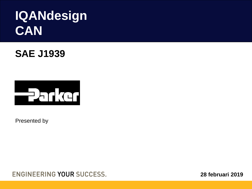## **IQANdesign CAN**

**SAE J1939**



Presented by

**ENGINEERING YOUR SUCCESS.** 

**28 februari 2019**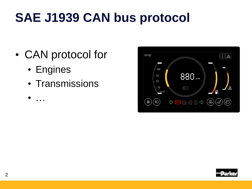# **SAE J1939 CAN bus protocol**

- CAN protocol for
	- Engines

 $\bullet$  …

• Transmissions



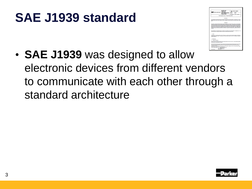## **SAE J1939 standard**



• **SAE J1939** was designed to allow electronic devices from different vendors to communicate with each other through a standard architecture

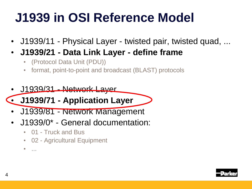# **J1939 in OSI Reference Model**

- J1939/11 Physical Layer twisted pair, twisted quad, ...
- **J1939/21 - Data Link Layer - define frame**
	- (Protocol Data Unit (PDU))
	- format, point-to-point and broadcast (BLAST) protocols
- J1939/31 Network Layer
- **J1939/71 - Application Layer**
- J1939/81 Network Management
- J1939/0\* General documentation:
	- 01 Truck and Bus
	- 02 Agricultural Equipment
	- ...

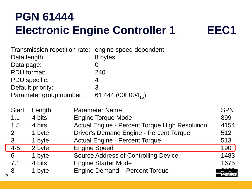### **PGN 61444 Electronic Engine Controller 1 <b>EEC1**

5

| Data length:<br>Data page:<br>PDU format: | <b>PDU</b> specific:    | Transmission repetition rate: engine speed dependent<br>8 bytes<br>0<br>240<br>4 |              |
|-------------------------------------------|-------------------------|----------------------------------------------------------------------------------|--------------|
|                                           | Default priority:       | 3                                                                                |              |
|                                           | Parameter group number: | 61 444 (00F004 <sub>16</sub> )                                                   |              |
| <b>Start</b>                              | Length                  | <b>Parameter Name</b>                                                            | <b>SPN</b>   |
| 1.1                                       | 4 bits                  | <b>Engine Torque Mode</b>                                                        | 899          |
| 1.5                                       | 4 bits                  | <b>Actual Engine - Percent Torque High Resolution</b>                            | 4154         |
| $\overline{2}$                            | 1 byte                  | <b>Driver's Demand Engine - Percent Torque</b>                                   | 512          |
| 3                                         | 1 byte                  | <b>Actual Engine - Percent Torque</b>                                            | 513          |
| $4 - 5$                                   | 2 byte                  | <b>Engine Speed</b>                                                              | 190          |
| 6                                         | 1 byte                  | <b>Source Address of Controlling Device</b>                                      | 1483         |
| 7.1                                       | 4 bits                  | <b>Engine Starter Mode</b>                                                       | 1675         |
| 8                                         | 1 byte                  | Engine Demand - Percent Torque                                                   | <b>Parke</b> |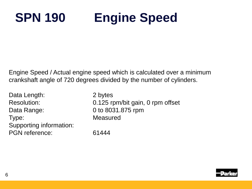# **SPN 190 Engine Speed**

Engine Speed / Actual engine speed which is calculated over a minimum crankshaft angle of 720 degrees divided by the number of cylinders.

Data Length: 2 bytes Data Range: 0 to 8031.875 rpm Type: Measured Supporting information: PGN reference: 61444

Resolution: 0.125 rpm/bit gain, 0 rpm offset

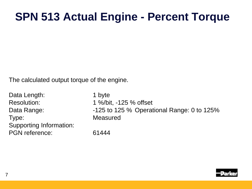### **SPN 513 Actual Engine - Percent Torque**

The calculated output torque of the engine.

Data Length: 1 byte Resolution: 1 %/bit, -125 % offset Type: Measured Supporting Information: PGN reference: 61444

Data Range:  $-125$  to 125 % Operational Range: 0 to 125%

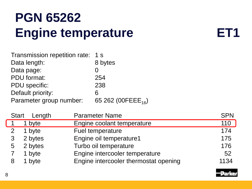## **PGN 65262 Engine temperature <b>ET1**

| Transmission repetition rate: 1 s |                                |
|-----------------------------------|--------------------------------|
| Data length:                      | 8 bytes                        |
| Data page:                        |                                |
| <b>PDU</b> format:                | 254                            |
| <b>PDU</b> specific:              | 238                            |
| Default priority:                 | 6                              |
| Parameter group number:           | 65 262 (00FEEE <sub>16</sub> ) |
|                                   |                                |

|   | Start Length | <b>Parameter Name</b>                 | <b>SPN</b> |
|---|--------------|---------------------------------------|------------|
|   | 1 byte       | Engine coolant temperature            | 110        |
| 2 | 1 byte       | Fuel temperature                      | 174        |
|   | 2 bytes      | Engine oil temperature1               | 175        |
| 5 | 2 bytes      | Turbo oil temperature                 | 176        |
|   | 1 byte       | Engine intercooler temperature        | 52         |
|   | 1 byte       | Engine intercooler thermostat opening | 1134       |



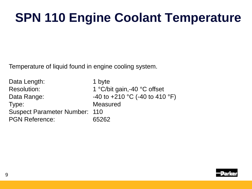# **SPN 110 Engine Coolant Temperature**

Temperature of liquid found in engine cooling system.

Data Length: 1 byte Resolution: 1 °C/bit gain,-40 °C offset Data Range:  $-40$  to  $+210$  °C (-40 to 410 °F) Type: Measured Suspect Parameter Number: 110 PGN Reference: 65262

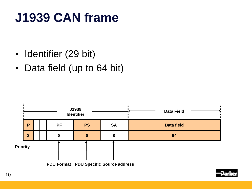## **J1939 CAN frame**

- Identifier (29 bit)
- Data field (up to 64 bit)

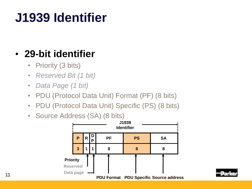# **J1939 Identifier**

### • **29-bit identifier**

- Priority (3 bits)
- *Reserved Bit (1 bit)*
- *Data Page (1 bit)*
- PDU (Protocol Data Unit) Format (PF) (8 bits)
- PDU (Protocol Data Unit) Specific (PS) (8 bits)
- Source Address (SA) (8 bits)



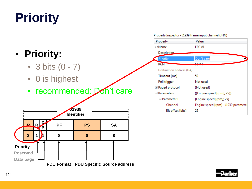# **Priority**

### • **Priority:**

- 3 bits  $(0 7)$
- 0 is highest

### • recommended: Don't care



Property Inspector - J1939 frame input channel (JFIN)

| Property                  | Value                                |
|---------------------------|--------------------------------------|
| c > Name                  | <b>EEC#1</b>                         |
| <b>Description</b>        |                                      |
| Priority                  | Don't care                           |
| <b>PGN</b>                | 61 A A A                             |
| Destination address (DA)  |                                      |
| Timeout [ms]              | 50                                   |
| Poll trigger              | Not used                             |
| $\boxplus$ Paged protocol | {Not used}                           |
| <b>□ Parameters</b>       | {{Engine speed [rpm]; 25}}           |
| $\boxminus$ Parameter 1   | {Engine speed [rpm]; 25}             |
| Channel                   | Engine speed [rpm] - J1939 parameter |
| Bit offset [bits]         | 25                                   |
|                           |                                      |

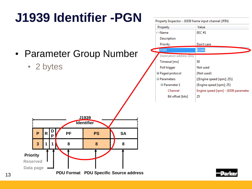

### **J1939 Identifier -PGN**

- Parameter Group Number
	- 2 bytes



| Property                  | Value                                |
|---------------------------|--------------------------------------|
| cp Name                   | FEC#1                                |
| Description               |                                      |
| Priority                  | Don't care                           |
| <b>PGN</b>                | 61444                                |
| Destination address (DA)  |                                      |
| Timeout [ms]              | 50                                   |
| Poll trigger              | Not used                             |
| $\boxplus$ Paged protocol | {Not used}                           |
| <b>□ Parameters</b>       | {{Engine speed [rpm]; 25}}           |
| $\boxminus$ Parameter 1   | {Engine speed [rpm]; 25}             |
| Channel                   | Engine speed [rpm] - J1939 parameter |
| Bit offset [bits]         | 25                                   |

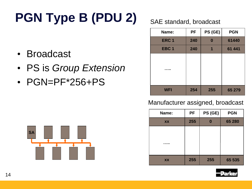# **PGN Type B (PDU 2)** SAE standard, broadcast

- Broadcast
- PS is *Group Extension*
- PGN=PF\*256+PS



| Name:            | <b>PF</b> | PS (GE) | <b>PGN</b> |
|------------------|-----------|---------|------------|
| ERC <sub>1</sub> | 240       |         | 61440      |
| EBC <sub>1</sub> | 240       | 1       | 61 441     |
|                  |           |         |            |
| <b>WFI</b>       | 254       | 255     | 65 279     |

### Manufacturer assigned, broadcast

| Name:     | PF  | PS (GE) | <b>PGN</b> |
|-----------|-----|---------|------------|
| <b>XX</b> | 255 |         | 65 280     |
|           |     |         |            |
|           |     |         |            |
| .         |     |         |            |
|           |     |         |            |
| <b>XX</b> | 255 | 255     | 65 535     |



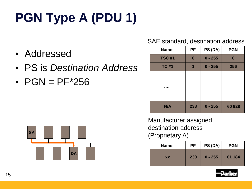# **PGN Type A (PDU 1)**

- Addressed
- PS is *Destination Address*
- $PGN = PF*256$



### SAE standard, destination address

| Name:         | <b>PF</b>        | PS (DA)   | <b>PGN</b> |
|---------------|------------------|-----------|------------|
| <b>TSC #1</b> | $\boldsymbol{0}$ | $0 - 255$ |            |
| <b>TC #1</b>  | 1                | $0 - 255$ | 256        |
|               |                  |           |            |
| N/A           | 238              | $0 - 255$ | 60 928     |

Manufacturer assigned, destination address (Proprietary A)

| Name:     | <b>PF</b> | PS (DA)   | <b>PGN</b> |
|-----------|-----------|-----------|------------|
| <b>XX</b> | 239       | $0 - 255$ | 61 184     |

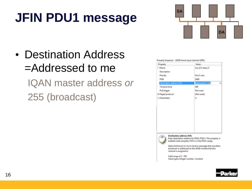# **JFIN PDU1 message**



• Destination Address =Addressed to me IQAN master address *or* 255 (broadcast)

#### Property Inspector - J1939 frame input channel (JFIN)

| Value            |
|------------------|
| Aux I/O status 5 |
|                  |
| Don't care       |
| 2048             |
| Addressed to me  |
| 300              |
| Not used         |
| {Not used}       |
| 8                |
|                  |
|                  |
|                  |
|                  |
|                  |
|                  |
|                  |
|                  |
|                  |
|                  |

#### **Destination address (DA)**

Enter destination address for PDU1 PGN's. This property is enabled when property PGN is in the PDU1 range.

Select Addressed to me to receive messages that are either broadcast or addressed to the J1939 module that this channel is assigned to.

Valid range is 0 - 255. Value types: Integer number, Constant

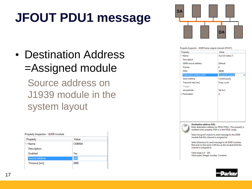# **JFOUT PDU1 message**

• Destination Address =Assigned module

> Source address on J1939 module in the system layout

| Property       | Value  |  |
|----------------|--------|--|
| <b>CD Name</b> | CM0504 |  |
| Description    |        |  |
| <b>Enabled</b> | Yes    |  |
| Source address | 160    |  |
| Timeout [ms]   | 2000   |  |



#### Property Inspector - J1939 frame output channel (JFOUT)

| Property                 | Value            |
|--------------------------|------------------|
| co Name                  | Aux I/O status 7 |
| Description              |                  |
| J1939 source address     | Default          |
| Priority                 | 6                |
| <b>PGN</b>               | 39936            |
| Destination address (DA) | Assigned module  |
| Send method              | Continuously     |
| Transmit rate [ms]       | Every cycle      |
| Trigger                  |                  |
| <b>Unused bits</b>       | Set to 1         |
| <b>Parameters</b>        | ₩                |
|                          |                  |
|                          |                  |
|                          |                  |
|                          |                  |
|                          |                  |
|                          |                  |

#### **Destination address (DA)**

Enter destination address for PDU1 PGN's. This property is enabled when property PGN is in the PDU1 range.

Select Assigned module to send message to the J1939 module that this channel is assigned to.

Select Broadcast to send message to all J1939 modules that exist on the same CAN bus as the module that this channel is assigned to.

Valid range is 0 - 255. Value types: Integer number, Constant

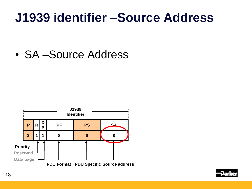### **J1939 identifier –Source Address**

• SA –Source Address



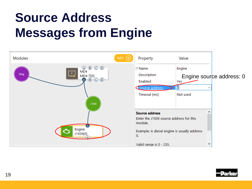# **Source Address Messages from Engine**



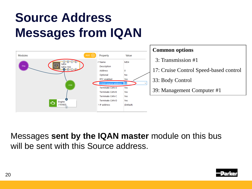## **Source Address Messages from IQAN**



### **Common options**

- 3: Transmission #1
- 17: Cruise Control Speed-based control
- 33: Body Control
- 39: Management Computer #1

Messages **sent by the IQAN master** module on this bus will be sent with this Source address.

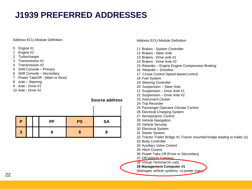### **J1939 PREFERRED ADDRESSES**

#### Address ECU-Module Definition:

- 0 Engine #1
- 1 Engine #2
- 2 Turbocharger
- 3 Transmission #1
- 4 Transmission #2
- 5 Shift Console Primary
- 6 Shift Console Secondary
- 7 Power TakeOff (Main or Rear)
- 8 Axle Steering
- 9 Axle Drive #1
- 10 Axle Drive #2

### **Source address**

| Р |  | <b>PF</b> | <b>PS</b> | <b>SA</b> |
|---|--|-----------|-----------|-----------|
| 3 |  |           |           |           |

Address ECU-Module Definition:

- 11 Brakes System Controller 12 Brakes - Steer Axle 13 Brakes - Drive axle #1 14 Brakes - Drive Axle #2 15 Retarder – Engine Engine Compression Braking 16 Retarder – Driveline 17 Cruise Control Speed-based control 18 Fuel System 19 Steering Controller 20 Suspension – Steer Axle 21 Suspension – Drive Axle #1 22 Suspension – Drive Axle #2 23 Instrument Cluster 24 Trip Recorder 25 Passenger-Operator Climate Control 26 Electrical Charging System 27 Aerodynamic Control 28 Vehicle Navigation 29 Vehicle Security 30 Electrical System 31 Starter System 32 Tractor-Trailer Bridge #1 Tractor mounted bridge leading to trailer (s) 33 Body Controller 34 Auxiliary Valve Control 35 Hitch Control 36 Power Take Off (Front or Secondary)
- 37 Off Vehicle Gateway
- 38 Virtual Terminal (in cab)

#### **39 Management Computer #1**

(Manages vehicle systems, i.e.power train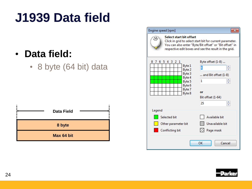## **J1939 Data field**

### • **Data field:**

• 8 byte (64 bit) data



| Engine speed [rpm]                                                                                      |                                                                                                                                                                              |
|---------------------------------------------------------------------------------------------------------|------------------------------------------------------------------------------------------------------------------------------------------------------------------------------|
| Select start bit offset<br>O.                                                                           | Click in grid to select start bit for current parameter.<br>You can also enter "Byte/Bit offset" or "Bit offset" in<br>respective edit boxes and see the result in the grid. |
| 87<br>5 4 3<br>21<br>6.<br>Byte 1<br>Byte 2<br>Byte 3<br>Byte 4<br>Byte 5<br>Byte 6<br>Byte 7<br>Byte 8 | Byte offset (1-8)<br>4<br>and Bit offset (1-8)<br>1<br>or<br>Bit offset (1-64)<br>25                                                                                         |
| Legend                                                                                                  |                                                                                                                                                                              |
| Selected bit<br>Other parameter bit                                                                     | Available bit<br>Unavailable bit                                                                                                                                             |
| <b>Conflicting bit</b>                                                                                  | Page mask                                                                                                                                                                    |
|                                                                                                         | OK<br>Cancel                                                                                                                                                                 |

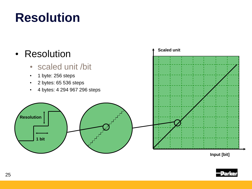## **Resolution**

### • Resolution • scaled unit /bit • 1 byte: 256 steps • 2 bytes: 65 536 steps • 4 bytes: 4 294 967 296 steps **Resolution 1 bit Scaled unit**

**Input [bit]**

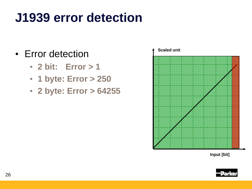# **J1939 error detection**

- Error detection
	- **2 bit: Error > 1**
	- **1 byte: Error > 250**
	- **2 byte: Error > 64255**



**Input [bit]**

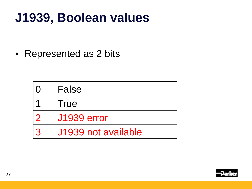## **J1939, Boolean values**

• Represented as 2 bits

|   | False               |
|---|---------------------|
|   | <b>True</b>         |
|   | <b>J1939 error</b>  |
| 3 | J1939 not available |

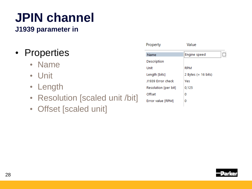# **JPIN channel**

**J1939 parameter in**

- Properties
	- Name
	- Unit
	- Length
	- Resolution [scaled unit /bit]
	- Offset [scaled unit]

| Property             | Value               |
|----------------------|---------------------|
| Name                 | Engine speed        |
| Description          |                     |
| Unit                 | <b>RPM</b>          |
| Length [bits]        | 2 Bytes (= 16 bits) |
| J1939 Error check    | Yes                 |
| Resolution [per bit] | 0,125               |
| Offset               | 0                   |
| Error value [RPM]    | o                   |
|                      |                     |

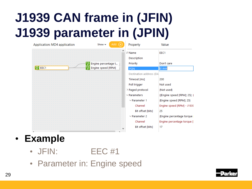# **J1939 CAN frame in (JFIN) J1939 parameter in (JPIN)**

| Application: MD4 application | Show $\sim$<br>Add  | Property                | Value                        |
|------------------------------|---------------------|-------------------------|------------------------------|
|                              |                     | $\wedge$<br>22 Name     | EEC1                         |
|                              |                     | Description             |                              |
|                              | Engine percentage t | Priority                | Don't care                   |
| 四 EEC1                       | Engine speed [RPM]  | PGN                     | 61444                        |
|                              |                     | Destination address (DA |                              |
|                              |                     | Timeout [ms]            | 200                          |
|                              |                     | Poll trigger            | Not used                     |
|                              |                     | > Paged protocol        | {Not used}                   |
|                              |                     | $\vee$ Parameters       | {{Engine speed [RPM]; 25}; { |
|                              |                     | $\vee$ Parameter 1      | {Engine speed [RPM]; 25}     |
|                              |                     | Channel                 | Engine speed [RPM] - J1939   |
|                              |                     | Bit offset [bits]       | 25                           |
|                              |                     | $\vee$ Parameter 2      | {Engine percentage torque    |
|                              |                     | Channel                 | Engine percentage torque [   |
|                              |                     | Bit offset [bits]       | 17                           |
|                              |                     |                         |                              |

### • **Example**

- JFIN: **EEC #1**
- Parameter in: Engine speed

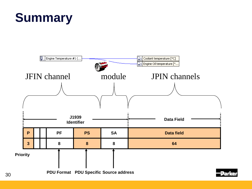

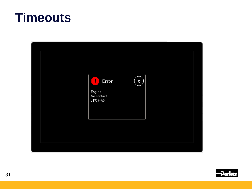### **Timeouts**



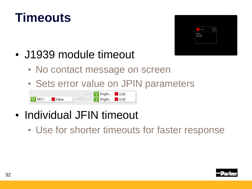



- J1939 module timeout
	- No contact message on screen
	- Sets error value on JPIN parameters

Engin...  $\blacksquare$ 0.00  $\mathbb{F}$  EEC1 **False** Engin...  $\blacksquare$  0.00

### • Individual JFIN timeout

• Use for shorter timeouts for faster response

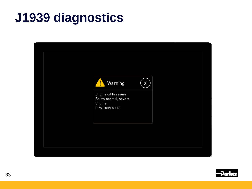## **J1939 diagnostics**



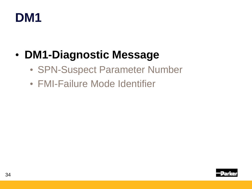

### • **DM1-Diagnostic Message**

- SPN-Suspect Parameter Number
- FMI-Failure Mode Identifier

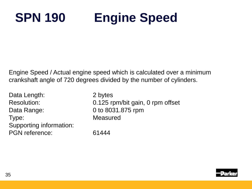# **SPN 190 Engine Speed**

Engine Speed / Actual engine speed which is calculated over a minimum crankshaft angle of 720 degrees divided by the number of cylinders.

Data Length: 2 bytes Data Range: 0 to 8031.875 rpm Type: Measured Supporting information: PGN reference: 61444

Resolution: 0.125 rpm/bit gain, 0 rpm offset

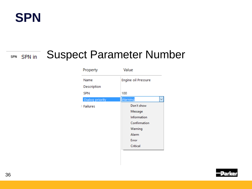

### SPN SPN in

### Suspect Parameter Number

| Property        | Value               |
|-----------------|---------------------|
| Name            | Engine oil Pressure |
| Description     |                     |
| <b>SPN</b>      | 100                 |
| Dialog priority | Warning             |
| $\geq$ Failures | Don't show          |
|                 | Message             |
|                 | Information         |
|                 | Confirmation        |
|                 | Warning             |
|                 | Alarm               |
|                 | Error               |
|                 | Critical            |
|                 |                     |

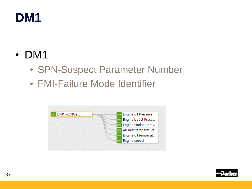### **DM1**

- DM1
	- SPN-Suspect Parameter Number
	- FMI-Failure Mode Identifier



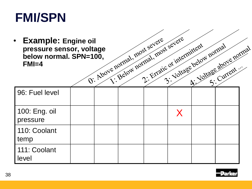### **FMI/SPN**

• **Example:** Engine oil<br>pressure sensor, voltage<br>below normal. SPN=100,<br>FMI=4 **pressure sensor, voltage below normal. SPN=100,** another and,  $\frac{\text{polyed}}{\text{polyd}}$ **below normal. SPN=100, FMI=4**

| <b>Example: Engine oil</b><br>pressure sensor, voltage<br>below normal. SPN=100,<br>$FMI=4$ |  | U. Above normal, most severe<br>1: Below normal, most severe | 2: Erratic or internittent<br>3: Voltage below normal | Joltage above normal |  |
|---------------------------------------------------------------------------------------------|--|--------------------------------------------------------------|-------------------------------------------------------|----------------------|--|
|                                                                                             |  |                                                              |                                                       |                      |  |
| 96: Fuel level                                                                              |  |                                                              |                                                       |                      |  |
| 100: Eng. oil<br>pressure                                                                   |  |                                                              | X                                                     |                      |  |
| 110: Coolant<br>temp                                                                        |  |                                                              |                                                       |                      |  |
| 111: Coolant<br>level                                                                       |  |                                                              |                                                       |                      |  |

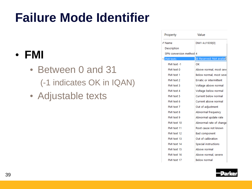# **Failure Mode Identifier**

### • **FMI**

- Between 0 and 31 (-1 indicates OK in IQAN)
- Adjustable texts

| Property                | Value                          |
|-------------------------|--------------------------------|
| $\mathscr{E}$ Name      | DM1-A:J1939[0]                 |
| Description             |                                |
| SPN conversion method 4 |                                |
| FMI texts               | d; Reserved; Not availat       |
| FMI text -1             | ОК                             |
| FMI text 0              | Above normal, most seve        |
| FMI text 1              | Below normal, most seve        |
| FMI text 2              | <b>Erratic or intermittent</b> |
| FMI text 3              | Voltage above normal           |
| FMI text 4              | Voltage below normal           |
| FMI text 5              | Current below normal           |
| FMI text 6              | Current above normal           |
| FMI text 7              | Out of adjustment              |
| FMI text 8              | Abnormal frequency             |
| FMI text 9              | Abnormal update rate           |
| FMI text 10             | Abnormal rate of change        |
| FMI text 11             | Root cause not known           |
| FMI text 12             | <b>Bad component</b>           |
| FMI text 13             | Out of calibration             |
| FMI text 14             | Special instructions           |
| FMI text 15             | Above normal                   |
| FMI text 16             | Above normal, severe           |
| FMI text 17             | <b>Below normal</b>            |

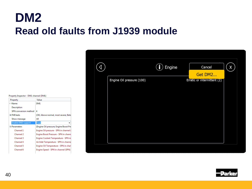### **DM2 Read old faults from J1939 module**

Property Inspector - DM1 channel (DM1)

| Value                                  |  |  |
|----------------------------------------|--|--|
| DM1                                    |  |  |
|                                        |  |  |
| 4                                      |  |  |
| {OK; Above normal, most severe; Belo   |  |  |
| ΑIΙ                                    |  |  |
| True                                   |  |  |
| {Engine Oil pressure; Engine Boost Pre |  |  |
| Engine Oil pressure - SPN in channel ( |  |  |
| Engine Boost Pressure - SPN in chann   |  |  |
| Engine Coolant Temperature - SPN in    |  |  |
| Air Inlet Temperature - SPN in channe  |  |  |
| Engine Oil Temperature - SPN in chan   |  |  |
| Engine Speed - SPN in channel (SPN)    |  |  |
|                                        |  |  |

|                           | Engine | Cancel<br>$\pmb{\mathsf{X}}$<br>Get DM2 |
|---------------------------|--------|-----------------------------------------|
| Engine Oil pressure (100) |        | Erratic or intermittent (2)             |
|                           |        |                                         |
|                           |        |                                         |
|                           |        |                                         |
|                           |        |                                         |